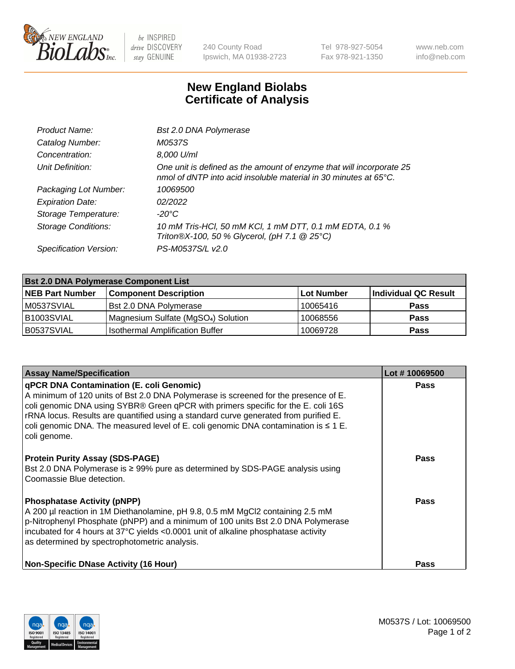

 $be$  INSPIRED drive DISCOVERY stay GENUINE

240 County Road Ipswich, MA 01938-2723 Tel 978-927-5054 Fax 978-921-1350 www.neb.com info@neb.com

## **New England Biolabs Certificate of Analysis**

| <b>Bst 2.0 DNA Polymerase</b>                                                                                                                      |
|----------------------------------------------------------------------------------------------------------------------------------------------------|
| <i>M0537S</i>                                                                                                                                      |
| 8,000 U/ml                                                                                                                                         |
| One unit is defined as the amount of enzyme that will incorporate 25<br>nmol of dNTP into acid insoluble material in 30 minutes at $65^{\circ}$ C. |
| 10069500                                                                                                                                           |
| 02/2022                                                                                                                                            |
| -20°C                                                                                                                                              |
| 10 mM Tris-HCl, 50 mM KCl, 1 mM DTT, 0.1 mM EDTA, 0.1 %<br>Triton®X-100, 50 % Glycerol, (pH 7.1 @ 25°C)                                            |
| PS-M0537S/L v2.0                                                                                                                                   |
|                                                                                                                                                    |

| <b>Bst 2.0 DNA Polymerase Component List</b> |                                                 |                    |                      |  |
|----------------------------------------------|-------------------------------------------------|--------------------|----------------------|--|
| <b>NEB Part Number</b>                       | <b>Component Description</b>                    | <b>∶Lot Number</b> | Individual QC Result |  |
| M0537SVIAL                                   | <b>Bst 2.0 DNA Polymerase</b>                   | 10065416           | <b>Pass</b>          |  |
| B1003SVIAL                                   | Magnesium Sulfate (MgSO <sub>4</sub> ) Solution | 10068556           | <b>Pass</b>          |  |
| B0537SVIAL                                   | <b>Isothermal Amplification Buffer</b>          | 10069728           | <b>Pass</b>          |  |

| <b>Assay Name/Specification</b>                                                                                                                                                                                                                                                                                                                                                                                                 | Lot #10069500 |
|---------------------------------------------------------------------------------------------------------------------------------------------------------------------------------------------------------------------------------------------------------------------------------------------------------------------------------------------------------------------------------------------------------------------------------|---------------|
| <b>qPCR DNA Contamination (E. coli Genomic)</b><br>A minimum of 120 units of Bst 2.0 DNA Polymerase is screened for the presence of E.<br>coli genomic DNA using SYBR® Green qPCR with primers specific for the E. coli 16S<br>rRNA locus. Results are quantified using a standard curve generated from purified E.<br>coli genomic DNA. The measured level of E. coli genomic DNA contamination is $\leq 1$ E.<br>coli genome. | <b>Pass</b>   |
| <b>Protein Purity Assay (SDS-PAGE)</b><br>Bst 2.0 DNA Polymerase is ≥ 99% pure as determined by SDS-PAGE analysis using<br>Coomassie Blue detection.                                                                                                                                                                                                                                                                            | Pass          |
| <b>Phosphatase Activity (pNPP)</b><br>A 200 µl reaction in 1M Diethanolamine, pH 9.8, 0.5 mM MgCl2 containing 2.5 mM<br>$\vert$ p-Nitrophenyl Phosphate (pNPP) and a minimum of 100 units Bst 2.0 DNA Polymerase<br>incubated for 4 hours at 37°C yields <0.0001 unit of alkaline phosphatase activity<br>as determined by spectrophotometric analysis.                                                                         | <b>Pass</b>   |
| <b>Non-Specific DNase Activity (16 Hour)</b>                                                                                                                                                                                                                                                                                                                                                                                    | <b>Pass</b>   |